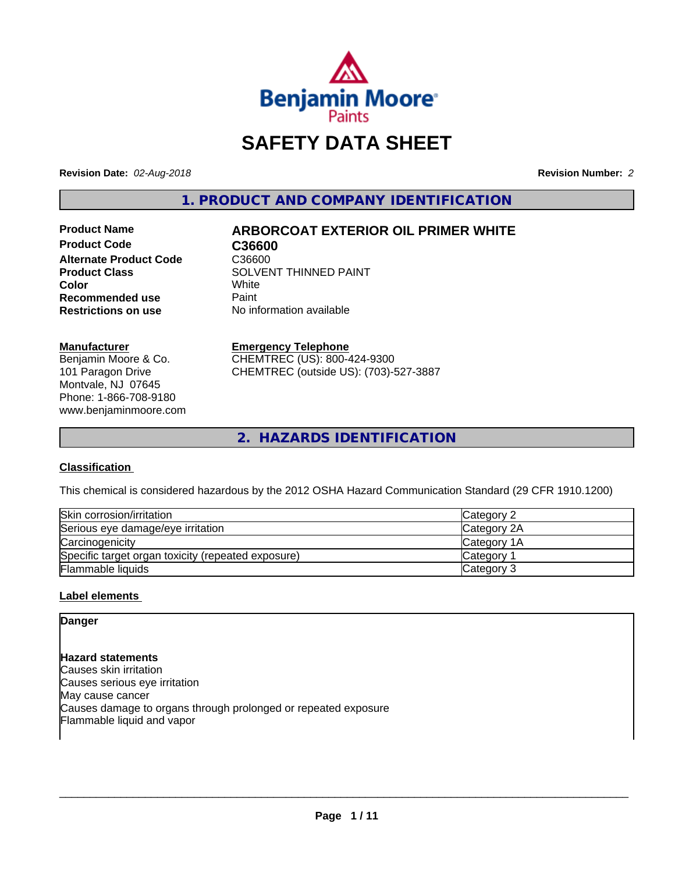

# **SAFETY DATA SHEET**

**Revision Date:** *02-Aug-2018* **Revision Number:** *2*

**1. PRODUCT AND COMPANY IDENTIFICATION**

**Product Code C36600 Alternate Product Code** C36600<br>Product Class SOLVEN **Recommended use** Paint<br> **Restrictions on use** No inf

# **Product Name ARBORCOAT EXTERIOR OIL PRIMER WHITE**

**SOLVENT THINNED PAINT**<br>White **Color** White White **No information available** 

#### **Manufacturer**

Benjamin Moore & Co. 101 Paragon Drive Montvale, NJ 07645 Phone: 1-866-708-9180 www.benjaminmoore.com

#### **Emergency Telephone**

CHEMTREC (US): 800-424-9300 CHEMTREC (outside US): (703)-527-3887

**2. HAZARDS IDENTIFICATION**

# **Classification**

This chemical is considered hazardous by the 2012 OSHA Hazard Communication Standard (29 CFR 1910.1200)

| Skin corrosion/irritation                          | Category 2      |
|----------------------------------------------------|-----------------|
| Serious eye damage/eye irritation                  | Category 2A     |
| Carcinogenicity                                    | Category 1A     |
| Specific target organ toxicity (repeated exposure) | <b>Category</b> |
| <b>Flammable liquids</b>                           | Category 3      |

# **Label elements**

# **Danger**

**Hazard statements** Causes skin irritation Causes serious eye irritation May cause cancer Causes damage to organs through prolonged or repeated exposure Flammable liquid and vapor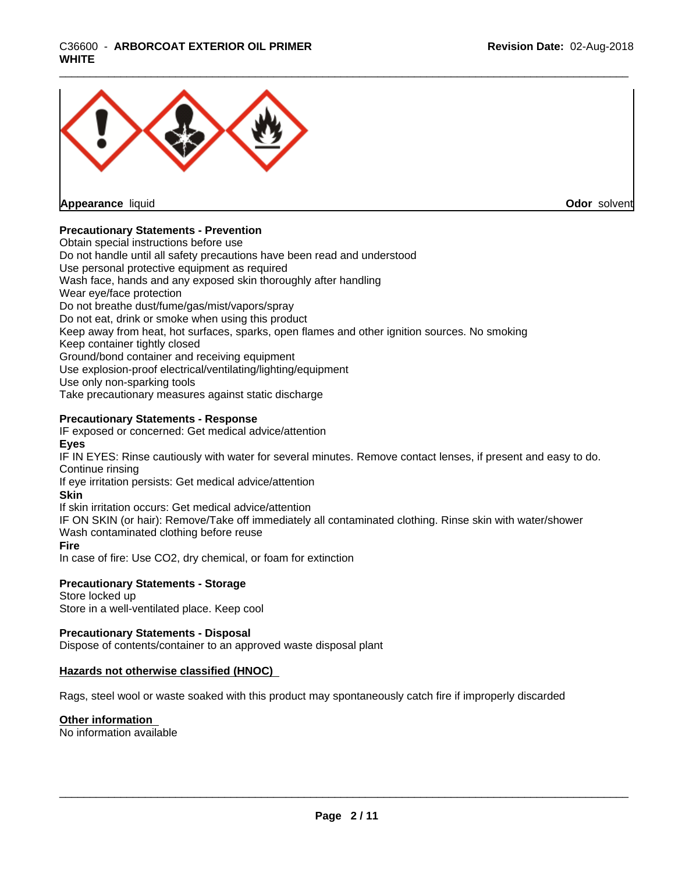

**Appearance** liquid

**Odor** solvent

# **Precautionary Statements - Prevention**

Obtain special instructions before use Do not handle until all safety precautions have been read and understood Use personal protective equipment as required Wash face, hands and any exposed skin thoroughly after handling Wear eye/face protection Do not breathe dust/fume/gas/mist/vapors/spray Do not eat, drink or smoke when using this product Keep away from heat, hot surfaces, sparks, open flames and other ignition sources. No smoking Keep container tightly closed Ground/bond container and receiving equipment Use explosion-proof electrical/ventilating/lighting/equipment Use only non-sparking tools Take precautionary measures against static discharge

# **Precautionary Statements - Response**

IF exposed or concerned: Get medical advice/attention

#### **Eyes**

IF IN EYES: Rinse cautiously with water forseveral minutes. Remove contact lenses, if present and easy to do. Continue rinsing

If eye irritation persists: Get medical advice/attention

#### **Skin**

If skin irritation occurs: Get medical advice/attention

IF ON SKIN (or hair): Remove/Take off immediately all contaminated clothing. Rinse skin with water/shower Wash contaminated clothing before reuse

# **Fire**

In case of fire: Use CO2, dry chemical, or foam for extinction

# **Precautionary Statements - Storage**

Store locked up Store in a well-ventilated place. Keep cool

### **Precautionary Statements - Disposal**

Dispose of contents/container to an approved waste disposal plant

### **Hazards not otherwise classified (HNOC)**

Rags, steel wool or waste soaked with this product may spontaneously catch fire if improperly discarded

### **Other information**

No information available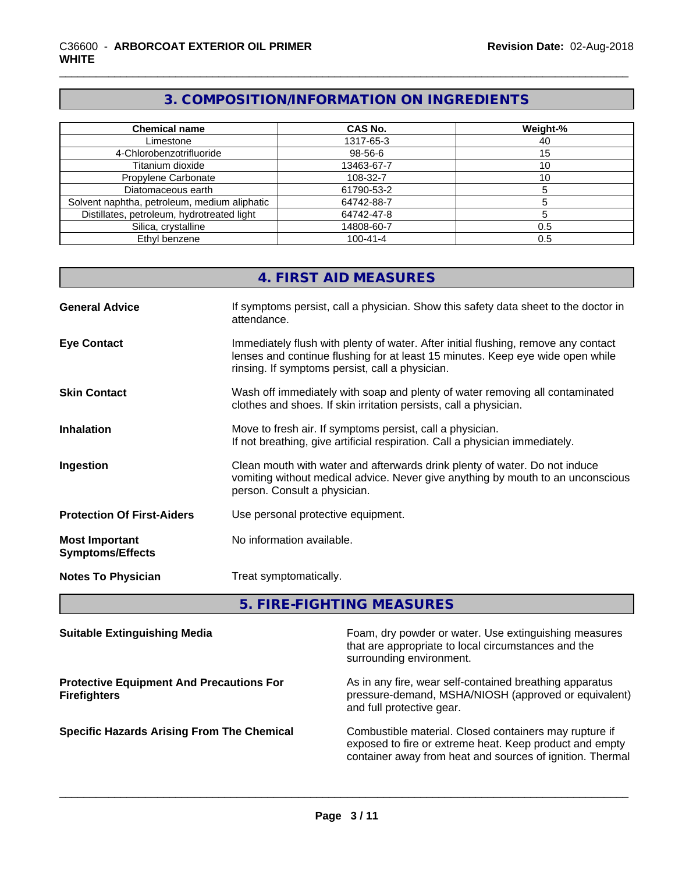# **3. COMPOSITION/INFORMATION ON INGREDIENTS**

| <b>Chemical name</b>                         | <b>CAS No.</b> | Weight-% |
|----------------------------------------------|----------------|----------|
| Limestone                                    | 1317-65-3      | 40       |
| 4-Chlorobenzotrifluoride                     | 98-56-6        | 15       |
| Titanium dioxide                             | 13463-67-7     | 10       |
| Propylene Carbonate                          | 108-32-7       | 10       |
| Diatomaceous earth                           | 61790-53-2     |          |
| Solvent naphtha, petroleum, medium aliphatic | 64742-88-7     |          |
| Distillates, petroleum, hydrotreated light   | 64742-47-8     |          |
| Silica, crystalline                          | 14808-60-7     | 0.5      |
| Ethyl benzene                                | $100 - 41 - 4$ | 0.5      |

|                                                  | 4. FIRST AID MEASURES                                                                                                                                                                                                   |
|--------------------------------------------------|-------------------------------------------------------------------------------------------------------------------------------------------------------------------------------------------------------------------------|
| <b>General Advice</b>                            | If symptoms persist, call a physician. Show this safety data sheet to the doctor in<br>attendance.                                                                                                                      |
| <b>Eye Contact</b>                               | Immediately flush with plenty of water. After initial flushing, remove any contact<br>lenses and continue flushing for at least 15 minutes. Keep eye wide open while<br>rinsing. If symptoms persist, call a physician. |
| <b>Skin Contact</b>                              | Wash off immediately with soap and plenty of water removing all contaminated<br>clothes and shoes. If skin irritation persists, call a physician.                                                                       |
| <b>Inhalation</b>                                | Move to fresh air. If symptoms persist, call a physician.<br>If not breathing, give artificial respiration. Call a physician immediately.                                                                               |
| Ingestion                                        | Clean mouth with water and afterwards drink plenty of water. Do not induce<br>vomiting without medical advice. Never give anything by mouth to an unconscious<br>person. Consult a physician.                           |
| <b>Protection Of First-Aiders</b>                | Use personal protective equipment.                                                                                                                                                                                      |
| <b>Most Important</b><br><b>Symptoms/Effects</b> | No information available.                                                                                                                                                                                               |
| <b>Notes To Physician</b>                        | Treat symptomatically.                                                                                                                                                                                                  |

**5. FIRE-FIGHTING MEASURES**

| <b>Suitable Extinguishing Media</b>                                    | Foam, dry powder or water. Use extinguishing measures<br>that are appropriate to local circumstances and the<br>surrounding environment.                                       |
|------------------------------------------------------------------------|--------------------------------------------------------------------------------------------------------------------------------------------------------------------------------|
| <b>Protective Equipment And Precautions For</b><br><b>Firefighters</b> | As in any fire, wear self-contained breathing apparatus<br>pressure-demand, MSHA/NIOSH (approved or equivalent)<br>and full protective gear.                                   |
| <b>Specific Hazards Arising From The Chemical</b>                      | Combustible material. Closed containers may rupture if<br>exposed to fire or extreme heat. Keep product and empty<br>container away from heat and sources of ignition. Thermal |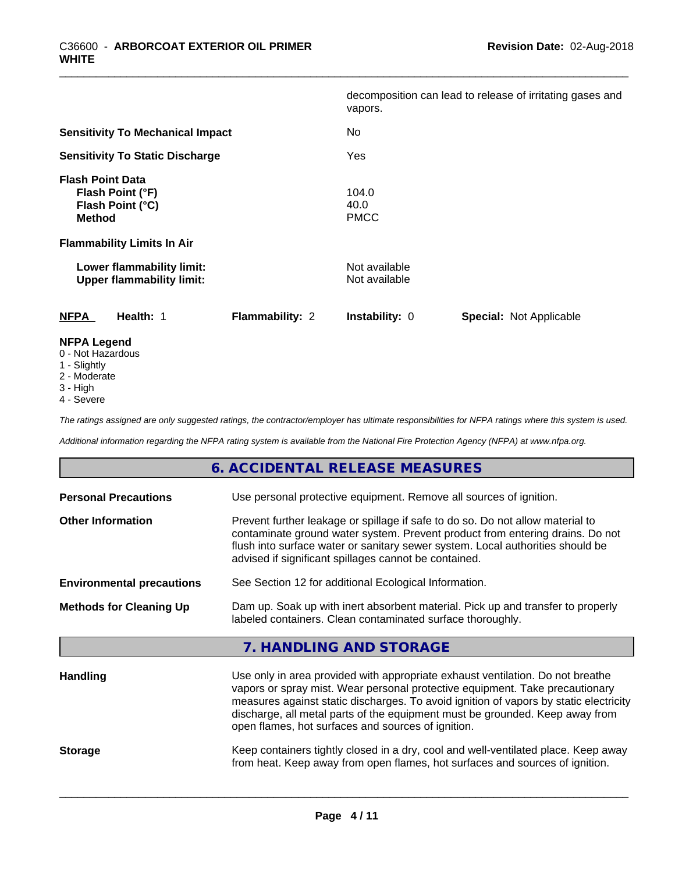|                                                                                  |                 | vapors.                        | decomposition can lead to release of irritating gases and |
|----------------------------------------------------------------------------------|-----------------|--------------------------------|-----------------------------------------------------------|
| <b>Sensitivity To Mechanical Impact</b>                                          |                 | No                             |                                                           |
| <b>Sensitivity To Static Discharge</b>                                           |                 | Yes                            |                                                           |
| <b>Flash Point Data</b><br>Flash Point (°F)<br>Flash Point (°C)<br><b>Method</b> |                 | 104.0<br>40.0<br><b>PMCC</b>   |                                                           |
| <b>Flammability Limits In Air</b>                                                |                 |                                |                                                           |
| Lower flammability limit:<br><b>Upper flammability limit:</b>                    |                 | Not available<br>Not available |                                                           |
| <b>NFPA</b><br>Health: 1                                                         | Flammability: 2 | <b>Instability: 0</b>          | <b>Special: Not Applicable</b>                            |
| <b>NFPA Legend</b><br>0 - Not Hazardous                                          |                 |                                |                                                           |

- 
- 1 Slightly
- 2 Moderate
- 3 High

4 - Severe

*The ratings assigned are only suggested ratings, the contractor/employer has ultimate responsibilities for NFPA ratings where this system is used.*

*Additional information regarding the NFPA rating system is available from the National Fire Protection Agency (NFPA) at www.nfpa.org.*

|                                  | 6. ACCIDENTAL RELEASE MEASURES                                                                                                                                                                                                                                                                                                                                                                |
|----------------------------------|-----------------------------------------------------------------------------------------------------------------------------------------------------------------------------------------------------------------------------------------------------------------------------------------------------------------------------------------------------------------------------------------------|
| <b>Personal Precautions</b>      | Use personal protective equipment. Remove all sources of ignition.                                                                                                                                                                                                                                                                                                                            |
| <b>Other Information</b>         | Prevent further leakage or spillage if safe to do so. Do not allow material to<br>contaminate ground water system. Prevent product from entering drains. Do not<br>flush into surface water or sanitary sewer system. Local authorities should be<br>advised if significant spillages cannot be contained.                                                                                    |
| <b>Environmental precautions</b> | See Section 12 for additional Ecological Information.                                                                                                                                                                                                                                                                                                                                         |
| <b>Methods for Cleaning Up</b>   | Dam up. Soak up with inert absorbent material. Pick up and transfer to properly<br>labeled containers. Clean contaminated surface thoroughly.                                                                                                                                                                                                                                                 |
|                                  | 7. HANDLING AND STORAGE                                                                                                                                                                                                                                                                                                                                                                       |
| <b>Handling</b>                  | Use only in area provided with appropriate exhaust ventilation. Do not breathe<br>vapors or spray mist. Wear personal protective equipment. Take precautionary<br>measures against static discharges. To avoid ignition of vapors by static electricity<br>discharge, all metal parts of the equipment must be grounded. Keep away from<br>open flames, hot surfaces and sources of ignition. |
| <b>Storage</b>                   | Keep containers tightly closed in a dry, cool and well-ventilated place. Keep away<br>from heat. Keep away from open flames, hot surfaces and sources of ignition.                                                                                                                                                                                                                            |
|                                  |                                                                                                                                                                                                                                                                                                                                                                                               |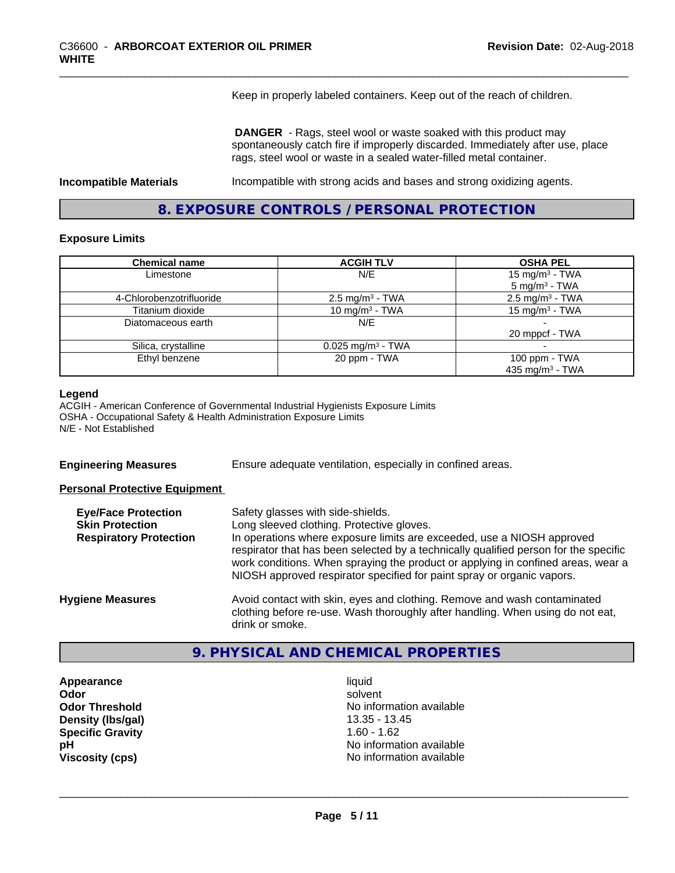Keep in properly labeled containers. Keep out of the reach of children.

 **DANGER** - Rags, steel wool or waste soaked with this product may spontaneously catch fire if improperly discarded. Immediately after use, place rags, steel wool or waste in a sealed water-filled metal container.

**Incompatible Materials Incompatible with strong acids and bases and strong oxidizing agents.** 

**8. EXPOSURE CONTROLS / PERSONAL PROTECTION**

#### **Exposure Limits**

| <b>Chemical name</b>     | <b>ACGIH TLV</b>                | <b>OSHA PEL</b>             |
|--------------------------|---------------------------------|-----------------------------|
| Limestone                | N/E                             | 15 mg/m <sup>3</sup> - TWA  |
|                          |                                 | $5 \text{ mg/m}^3$ - TWA    |
| 4-Chlorobenzotrifluoride | $2.5 \text{ mg/m}^3$ - TWA      | $2.5 \text{ mg/m}^3$ - TWA  |
| Titanium dioxide         | 10 mg/m $3$ - TWA               | 15 mg/m $3$ - TWA           |
| Diatomaceous earth       | N/E                             |                             |
|                          |                                 | 20 mppcf - TWA              |
| Silica, crystalline      | $0.025$ mg/m <sup>3</sup> - TWA |                             |
| Ethyl benzene            | 20 ppm - TWA                    | 100 ppm - TWA               |
|                          |                                 | 435 mg/m <sup>3</sup> - TWA |

#### **Legend**

ACGIH - American Conference of Governmental Industrial Hygienists Exposure Limits OSHA - Occupational Safety & Health Administration Exposure Limits N/E - Not Established

**Engineering Measures** Ensure adequate ventilation, especially in confined areas.

#### **Personal Protective Equipment**

| <b>Eye/Face Protection</b><br><b>Skin Protection</b><br><b>Respiratory Protection</b> | Safety glasses with side-shields.<br>Long sleeved clothing. Protective gloves.<br>In operations where exposure limits are exceeded, use a NIOSH approved<br>respirator that has been selected by a technically qualified person for the specific<br>work conditions. When spraying the product or applying in confined areas, wear a<br>NIOSH approved respirator specified for paint spray or organic vapors. |
|---------------------------------------------------------------------------------------|----------------------------------------------------------------------------------------------------------------------------------------------------------------------------------------------------------------------------------------------------------------------------------------------------------------------------------------------------------------------------------------------------------------|
| <b>Hygiene Measures</b>                                                               | Avoid contact with skin, eyes and clothing. Remove and wash contaminated<br>clothing before re-use. Wash thoroughly after handling. When using do not eat,<br>drink or smoke.                                                                                                                                                                                                                                  |

# **9. PHYSICAL AND CHEMICAL PROPERTIES**

**Appearance** liquid **Density (lbs/gal)** 13.35 - 13.45 **Specific Gravity** 1.60 - 1.62

**Odor** solvent **Odor Threshold No information available** No information available **pH** No information available **Viscosity (cps)** No information available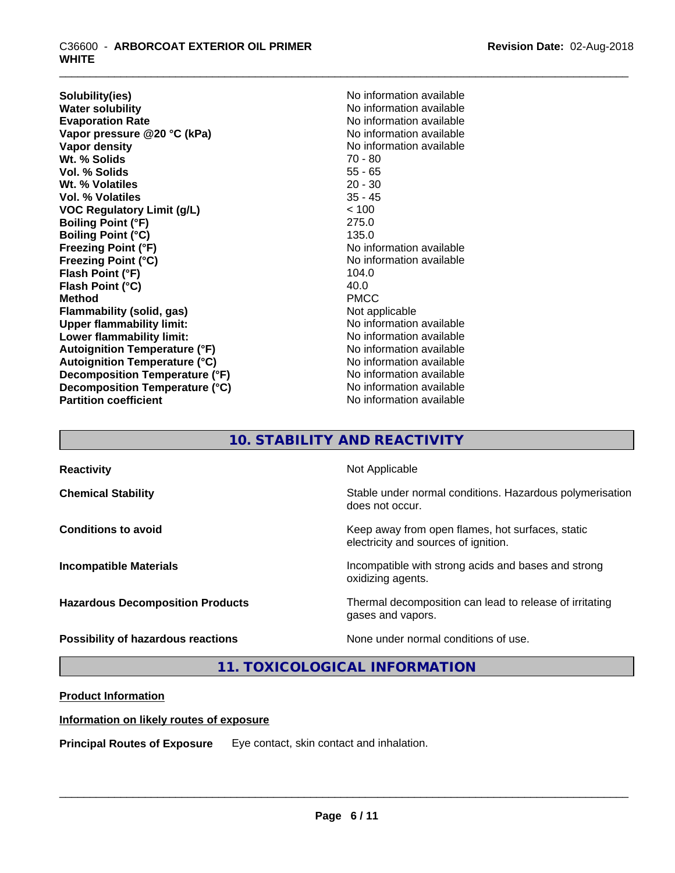# \_\_\_\_\_\_\_\_\_\_\_\_\_\_\_\_\_\_\_\_\_\_\_\_\_\_\_\_\_\_\_\_\_\_\_\_\_\_\_\_\_\_\_\_\_\_\_\_\_\_\_\_\_\_\_\_\_\_\_\_\_\_\_\_\_\_\_\_\_\_\_\_\_\_\_\_\_\_\_\_\_\_\_\_\_\_\_\_\_\_\_\_\_ C36600 - **ARBORCOAT EXTERIOR OIL PRIMER WHITE**

**Solubility(ies)** No information available **Water solubility**<br> **Evaporation Rate**<br> **Evaporation Rate**<br> **Evaporation Rate Vapor pressure @20 °C (kPa)** No information available<br> **Vapor density** No information available Wt. % Solids **Vol. % Solids** 55 - 65 **Wt. % Volatiles** 20 - 30 **Vol. % Volatiles VOC Regulatory Limit (g/L)** < 100 **Boiling Point (°F)** 275.0 **Boiling Point (°C)** 135.0 **Freezing Point (°F)**<br> **Freezing Point (°C)**<br> **Freezing Point (°C)**<br> **No information available Flash Point (°F)** 104.0 **Flash Point (°C)** 40.0<br> **Method** PMCC **Method** PMCC **Flammability (solid, gas)** Not applicable **Upper flammability limit:**<br> **Lower flammability limit:** No information available<br>
No information available **Lower flammability limit: Autoignition Temperature (°F)** No information available **Autoignition Temperature (°C)** No information available **Decomposition Temperature (°F)** No information available **Decomposition Temperature (°C)** No information available<br> **Partition coefficient Partition available Partition coefficient** 

**Evaporation Rate** No information available **No information available**<br>70 - 80 **Freezing Point (°C)** No information available

# **10. STABILITY AND REACTIVITY**

| <b>Reactivity</b>                       | Not Applicable                                                                           |
|-----------------------------------------|------------------------------------------------------------------------------------------|
| <b>Chemical Stability</b>               | Stable under normal conditions. Hazardous polymerisation<br>does not occur.              |
| <b>Conditions to avoid</b>              | Keep away from open flames, hot surfaces, static<br>electricity and sources of ignition. |
| <b>Incompatible Materials</b>           | Incompatible with strong acids and bases and strong<br>oxidizing agents.                 |
| <b>Hazardous Decomposition Products</b> | Thermal decomposition can lead to release of irritating<br>gases and vapors.             |
| Possibility of hazardous reactions      | None under normal conditions of use.                                                     |

**11. TOXICOLOGICAL INFORMATION**

# **Product Information**

# **Information on likely routes of exposure**

**Principal Routes of Exposure** Eye contact, skin contact and inhalation.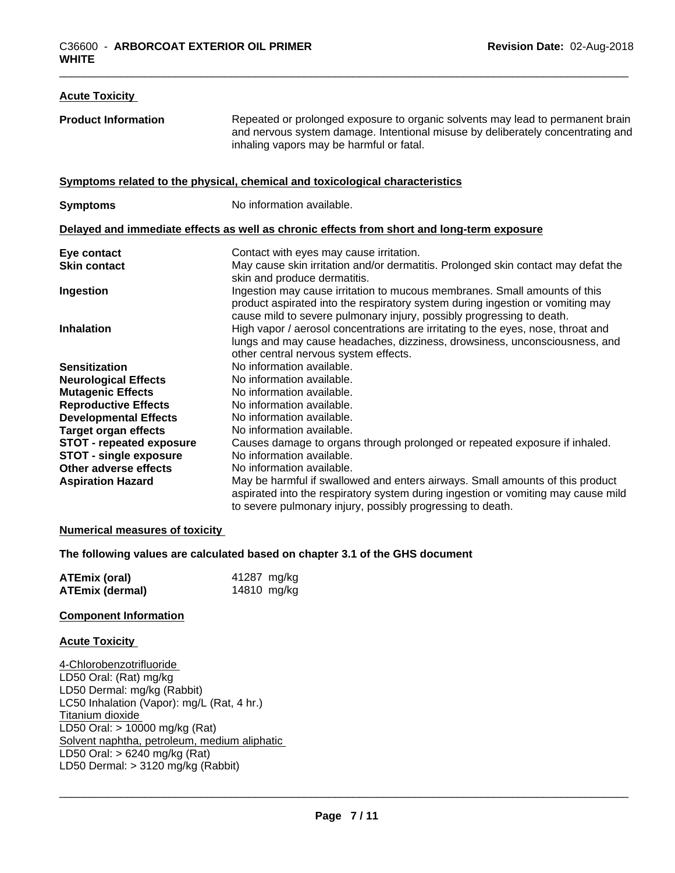| <b>Acute Toxicity</b>           |                                                                                                                                                                                                                                      |  |  |
|---------------------------------|--------------------------------------------------------------------------------------------------------------------------------------------------------------------------------------------------------------------------------------|--|--|
| <b>Product Information</b>      | Repeated or prolonged exposure to organic solvents may lead to permanent brain<br>and nervous system damage. Intentional misuse by deliberately concentrating and<br>inhaling vapors may be harmful or fatal.                        |  |  |
|                                 | Symptoms related to the physical, chemical and toxicological characteristics                                                                                                                                                         |  |  |
| <b>Symptoms</b>                 | No information available.                                                                                                                                                                                                            |  |  |
|                                 | Delayed and immediate effects as well as chronic effects from short and long-term exposure                                                                                                                                           |  |  |
| Eye contact                     | Contact with eyes may cause irritation.                                                                                                                                                                                              |  |  |
| <b>Skin contact</b>             | May cause skin irritation and/or dermatitis. Prolonged skin contact may defat the<br>skin and produce dermatitis.                                                                                                                    |  |  |
| Ingestion                       | Ingestion may cause irritation to mucous membranes. Small amounts of this<br>product aspirated into the respiratory system during ingestion or vomiting may<br>cause mild to severe pulmonary injury, possibly progressing to death. |  |  |
| <b>Inhalation</b>               | High vapor / aerosol concentrations are irritating to the eyes, nose, throat and<br>lungs and may cause headaches, dizziness, drowsiness, unconsciousness, and<br>other central nervous system effects.                              |  |  |
| <b>Sensitization</b>            | No information available.                                                                                                                                                                                                            |  |  |
| <b>Neurological Effects</b>     | No information available.                                                                                                                                                                                                            |  |  |
| <b>Mutagenic Effects</b>        | No information available.                                                                                                                                                                                                            |  |  |
| <b>Reproductive Effects</b>     | No information available.                                                                                                                                                                                                            |  |  |
| <b>Developmental Effects</b>    | No information available.                                                                                                                                                                                                            |  |  |
| <b>Target organ effects</b>     | No information available.                                                                                                                                                                                                            |  |  |
| <b>STOT - repeated exposure</b> | Causes damage to organs through prolonged or repeated exposure if inhaled.                                                                                                                                                           |  |  |
| <b>STOT - single exposure</b>   | No information available.                                                                                                                                                                                                            |  |  |
| <b>Other adverse effects</b>    | No information available.                                                                                                                                                                                                            |  |  |
| <b>Aspiration Hazard</b>        | May be harmful if swallowed and enters airways. Small amounts of this product                                                                                                                                                        |  |  |
|                                 | aspirated into the respiratory system during ingestion or vomiting may cause mild                                                                                                                                                    |  |  |
|                                 | to severe pulmonary injury, possibly progressing to death.                                                                                                                                                                           |  |  |

# **Numerical measures of toxicity**

## **The following values are calculated based on chapter 3.1 of the GHS document**

| ATEmix (oral)   | 41287 mg/kg |
|-----------------|-------------|
| ATEmix (dermal) | 14810 mg/kg |

#### **Component Information**

#### **Acute Toxicity**

4-Chlorobenzotrifluoride LD50 Oral: (Rat) mg/kg LD50 Dermal: mg/kg (Rabbit) LC50 Inhalation (Vapor): mg/L (Rat, 4 hr.) Titanium dioxide LD50 Oral: > 10000 mg/kg (Rat) Solvent naphtha, petroleum, medium aliphatic LD50 Oral: > 6240 mg/kg (Rat) LD50 Dermal: > 3120 mg/kg (Rabbit)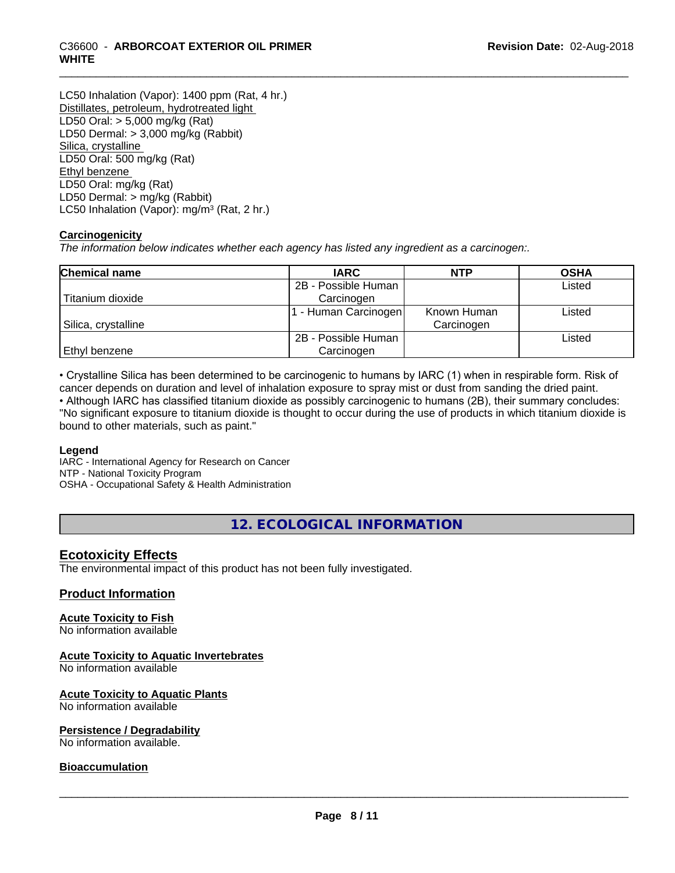# \_\_\_\_\_\_\_\_\_\_\_\_\_\_\_\_\_\_\_\_\_\_\_\_\_\_\_\_\_\_\_\_\_\_\_\_\_\_\_\_\_\_\_\_\_\_\_\_\_\_\_\_\_\_\_\_\_\_\_\_\_\_\_\_\_\_\_\_\_\_\_\_\_\_\_\_\_\_\_\_\_\_\_\_\_\_\_\_\_\_\_\_\_ C36600 - **ARBORCOAT EXTERIOR OIL PRIMER WHITE**

LC50 Inhalation (Vapor): 1400 ppm (Rat, 4 hr.) Distillates, petroleum, hydrotreated light LD50 Oral: > 5,000 mg/kg (Rat) LD50 Dermal: > 3,000 mg/kg (Rabbit) Silica, crystalline LD50 Oral: 500 mg/kg (Rat) Ethyl benzene LD50 Oral: mg/kg (Rat) LD50 Dermal: > mg/kg (Rabbit) LC50 Inhalation (Vapor): mg/m<sup>3</sup> (Rat, 2 hr.)

# **Carcinogenicity**

*The information below indicateswhether each agency has listed any ingredient as a carcinogen:.*

| <b>Chemical name</b> | <b>IARC</b>         | <b>NTP</b>  | <b>OSHA</b> |
|----------------------|---------------------|-------------|-------------|
|                      | 2B - Possible Human |             | Listed      |
| Titanium dioxide     | Carcinogen          |             |             |
|                      | - Human Carcinogen  | Known Human | Listed      |
| Silica, crystalline  |                     | Carcinogen  |             |
|                      | 2B - Possible Human |             | Listed      |
| Ethyl benzene        | Carcinogen          |             |             |

• Crystalline Silica has been determined to be carcinogenic to humans by IARC (1) when in respirable form. Risk of cancer depends on duration and level of inhalation exposure to spray mist or dust from sanding the dried paint.• Although IARC has classified titanium dioxide as possibly carcinogenic to humans (2B), their summary concludes: "No significant exposure to titanium dioxide is thought to occur during the use of products in which titanium dioxide is bound to other materials, such as paint."

### **Legend**

IARC - International Agency for Research on Cancer NTP - National Toxicity Program OSHA - Occupational Safety & Health Administration

**12. ECOLOGICAL INFORMATION**

# **Ecotoxicity Effects**

The environmental impact of this product has not been fully investigated.

# **Product Information**

# **Acute Toxicity to Fish**

No information available

# **Acute Toxicity to Aquatic Invertebrates**

No information available

# **Acute Toxicity to Aquatic Plants**

No information available

### **Persistence / Degradability**

No information available.

# **Bioaccumulation**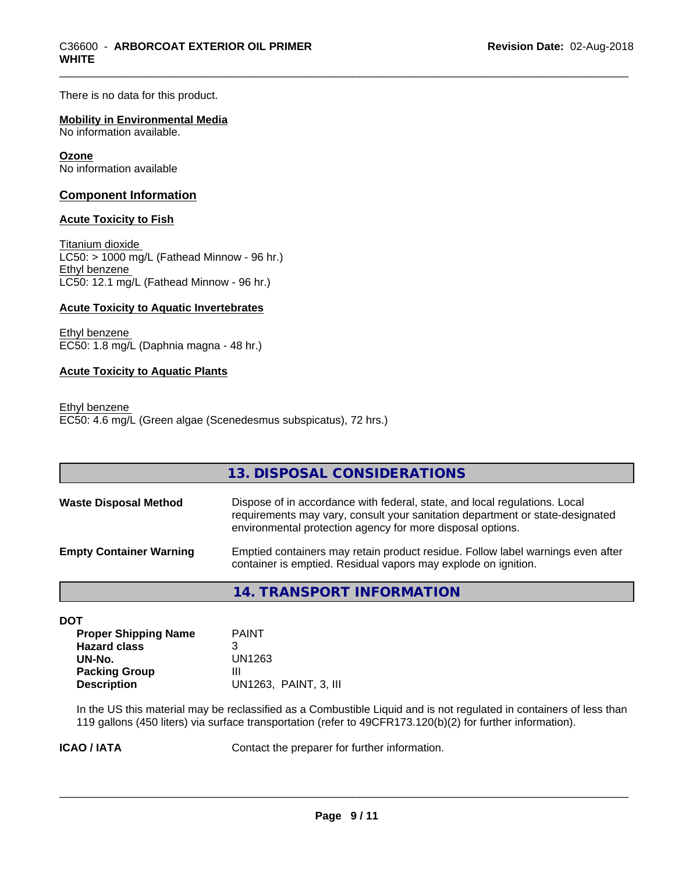There is no data for this product.

# **Mobility in Environmental Media**

No information available.

#### **Ozone**

No information available

# **Component Information**

# **Acute Toxicity to Fish**

Titanium dioxide  $LC50: > 1000$  mg/L (Fathead Minnow - 96 hr.) Ethyl benzene LC50: 12.1 mg/L (Fathead Minnow - 96 hr.)

#### **Acute Toxicity to Aquatic Invertebrates**

Ethyl benzene EC50: 1.8 mg/L (Daphnia magna - 48 hr.)

#### **Acute Toxicity to Aquatic Plants**

Ethyl benzene EC50: 4.6 mg/L (Green algae (Scenedesmus subspicatus), 72 hrs.)

|                                | 13. DISPOSAL CONSIDERATIONS                                                                                                                                                                                                                                                                                                                                                                                                                                                            |
|--------------------------------|----------------------------------------------------------------------------------------------------------------------------------------------------------------------------------------------------------------------------------------------------------------------------------------------------------------------------------------------------------------------------------------------------------------------------------------------------------------------------------------|
| <b>Waste Disposal Method</b>   | Dispose of in accordance with federal, state, and local regulations. Local<br>requirements may vary, consult your sanitation department or state-designated<br>environmental protection agency for more disposal options.                                                                                                                                                                                                                                                              |
| <b>Empty Container Warning</b> | Emptied containers may retain product residue. Follow label warnings even after<br>container is emptied. Residual vapors may explode on ignition.                                                                                                                                                                                                                                                                                                                                      |
|                                | $\begin{array}{c} \n \text{F} \cap \mathcal{N} \cap \mathcal{N} \cap \mathcal{N} \cap \mathcal{N} \cap \mathcal{N} \cap \mathcal{N} \cap \mathcal{N} \cap \mathcal{N} \cap \mathcal{N} \cap \mathcal{N} \cap \mathcal{N} \cap \mathcal{N} \cap \mathcal{N} \cap \mathcal{N} \cap \mathcal{N} \cap \mathcal{N} \cap \mathcal{N} \cap \mathcal{N} \cap \mathcal{N} \cap \mathcal{N} \cap \mathcal{N} \cap \mathcal{N} \cap \mathcal{N} \cap \mathcal{N} \cap \mathcal{N} \cap \mathcal{$ |

**14. TRANSPORT INFORMATION**

| DOT                         |                       |
|-----------------------------|-----------------------|
| <b>Proper Shipping Name</b> | <b>PAINT</b>          |
| <b>Hazard class</b>         | 3                     |
| UN-No.                      | UN1263                |
| <b>Packing Group</b>        | Ш                     |
| <b>Description</b>          | UN1263, PAINT, 3, III |
|                             |                       |

In the US this material may be reclassified as a Combustible Liquid and is not regulated in containers of less than 119 gallons (450 liters) via surface transportation (refer to 49CFR173.120(b)(2) for further information).

**ICAO / IATA** Contact the preparer for further information.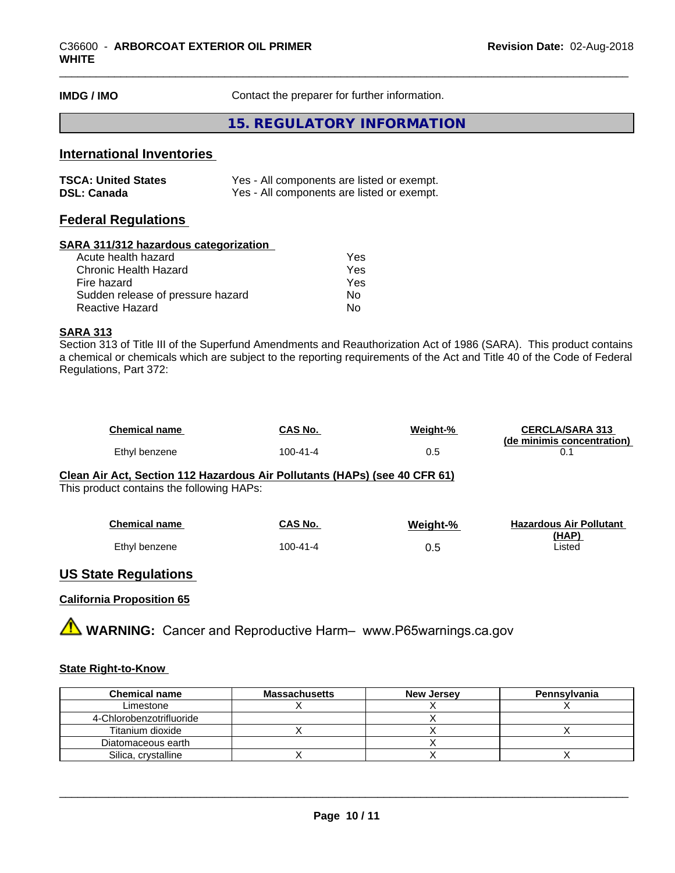**IMDG / IMO** Contact the preparer for further information.

**15. REGULATORY INFORMATION**

# **International Inventories**

| <b>TSCA: United States</b> | Yes - All components are listed or exempt. |
|----------------------------|--------------------------------------------|
| <b>DSL: Canada</b>         | Yes - All components are listed or exempt. |

# **Federal Regulations**

#### **SARA 311/312 hazardous categorization**

| Yes |
|-----|
| Yes |
| Yes |
| Nο  |
| N٥  |
|     |

# **SARA 313**

Section 313 of Title III of the Superfund Amendments and Reauthorization Act of 1986 (SARA). This product contains a chemical or chemicals which are subject to the reporting requirements of the Act and Title 40 of the Code of Federal Regulations, Part 372:

| <b>Chemical name</b> | CAS No.        | Weight-% | <b>CERCLA/SARA 313</b>     |
|----------------------|----------------|----------|----------------------------|
|                      |                |          | (de minimis concentration) |
| Ethyl benzene        | $100 - 41 - 4$ | J.O      |                            |

**Clean Air Act,Section 112 Hazardous Air Pollutants (HAPs) (see 40 CFR 61)** This product contains the following HAPs:

| <b>Chemical name</b> | CAS No.  | Weight-% | <b>Hazardous Air Pollutant</b> |
|----------------------|----------|----------|--------------------------------|
|                      |          |          | (HAP)                          |
| Ethyl benzene        | 100-41-4 | U.U      | Listed                         |

# **US State Regulations**

# **California Proposition 65**

**A** WARNING: Cancer and Reproductive Harm– www.P65warnings.ca.gov

# **State Right-to-Know**

| <b>Chemical name</b>     | <b>Massachusetts</b> | <b>New Jersey</b> | Pennsylvania |
|--------------------------|----------------------|-------------------|--------------|
| Limestone                |                      |                   |              |
| 4-Chlorobenzotrifluoride |                      |                   |              |
| Titanium dioxide         |                      |                   |              |
| Diatomaceous earth       |                      |                   |              |
| Silica, crystalline      |                      |                   |              |